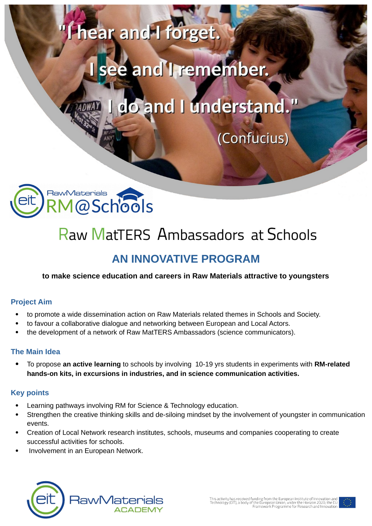

hear and I forget.

do and I understand."

(Confucius)



# **Raw MatTERS Ambassadors at Schools**

## **AN INNOVATIVE PROGRAM**

#### **to make science education and careers in Raw Materials attractive to youngsters**

#### **Project Aim**

- to promote a wide dissemination action on Raw Materials related themes in Schools and Society.
- to favour a collaborative dialogue and networking between European and Local Actors.
- the development of a network of Raw MatTERS Ambassadors (science communicators).

#### **The Main Idea**

 To propose **an active learning** to schools by involving 10-19 yrs students in experiments with **RM-related hands-on kits, in excursions in industries, and in science communication activities.**

#### **Key points**

- Learning pathways involving RM for Science & Technology education.
- Strengthen the creative thinking skills and de-siloing mindset by the involvement of youngster in communication events.
- Creation of Local Network research institutes, schools, museums and companies cooperating to create successful activities for schools.
- Involvement in an European Network.